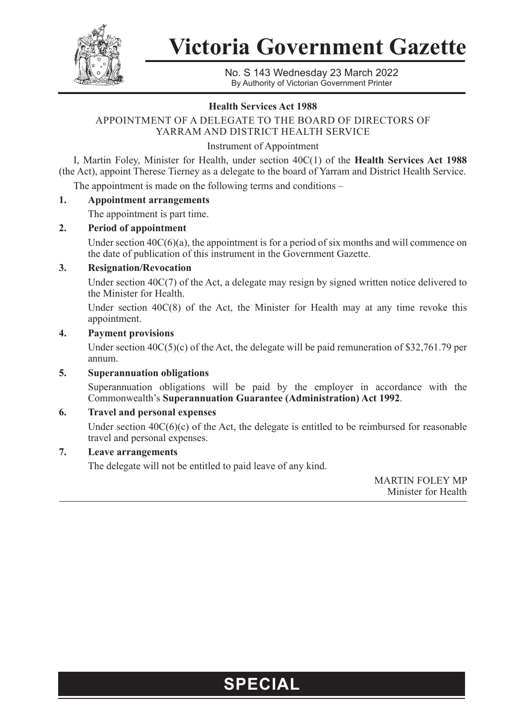

**Victoria Government Gazette**

No. S 143 Wednesday 23 March 2022 By Authority of Victorian Government Printer

#### **Health Services Act 1988**

### APPOINTMENT OF A DELEGATE TO THE BOARD OF DIRECTORS OF YARRAM AND DISTRICT HEALTH SERVICE

Instrument of Appointment

I, Martin Foley, Minister for Health, under section 40C(1) of the **Health Services Act 1988** (the Act), appoint Therese Tierney as a delegate to the board of Yarram and District Health Service.

The appointment is made on the following terms and conditions –

#### **1. Appointment arrangements**

The appointment is part time.

#### **2. Period of appointment**

Under section  $40C(6)(a)$ , the appointment is for a period of six months and will commence on the date of publication of this instrument in the Government Gazette.

#### **3. Resignation/Revocation**

Under section 40C(7) of the Act, a delegate may resign by signed written notice delivered to the Minister for Health.

Under section  $40C(8)$  of the Act, the Minister for Health may at any time revoke this appointment.

#### **4. Payment provisions**

Under section  $40C(5)(c)$  of the Act, the delegate will be paid remuneration of \$32,761.79 per annum.

#### **5. Superannuation obligations**

Superannuation obligations will be paid by the employer in accordance with the Commonwealth's **Superannuation Guarantee (Administration) Act 1992**.

#### **6. Travel and personal expenses**

Under section  $40C(6)(c)$  of the Act, the delegate is entitled to be reimbursed for reasonable travel and personal expenses.

#### **7. Leave arrangements**

The delegate will not be entitled to paid leave of any kind.

MARTIN FOLEY MP Minister for Health

## **SPECIAL**